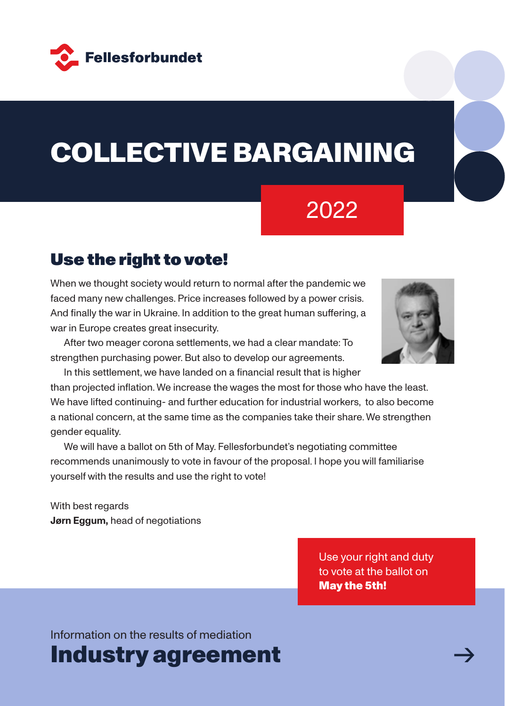

# COLLECTIVE BARGAINING

# 2022

# Use the right to vote!

When we thought society would return to normal after the pandemic we faced many new challenges. Price increases followed by a power crisis. And finally the war in Ukraine. In addition to the great human suffering, a war in Europe creates great insecurity.

After two meager corona settlements, we had a clear mandate: To strengthen purchasing power. But also to develop our agreements.

In this settlement, we have landed on a financial result that is higher than projected inflation. We increase the wages the most for those who have the least. We have lifted continuing- and further education for industrial workers, to also become a national concern, at the same time as the companies take their share. We strengthen gender equality.

We will have a ballot on 5th of May. Fellesforbundet's negotiating committee recommends unanimously to vote in favour of the proposal. I hope you will familiarise yourself with the results and use the right to vote!

With best regards **Jørn Eggum, head of negotiations** 

> Use your right and duty to vote at the ballot on May the 5th!

Information on the results of mediation

Industry agreement

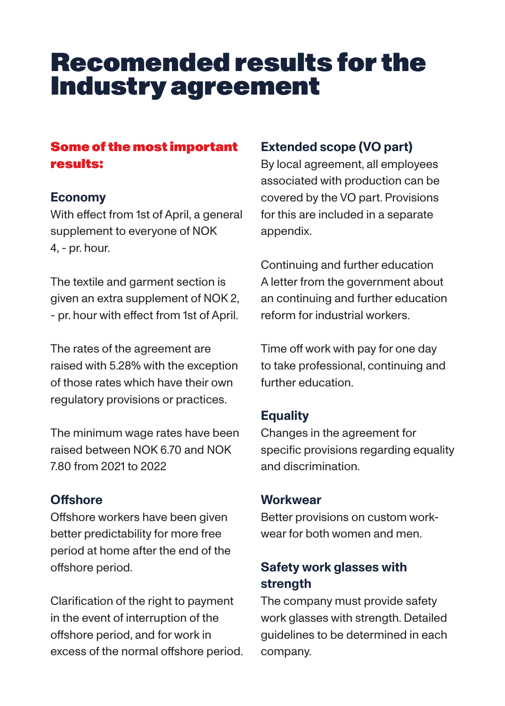# Recomended results for the Industry agreement

## Some of the most important results:

#### **Economy**

With effect from 1st of April, a general supplement to everyone of NOK 4, - pr. hour.

The textile and garment section is given an extra supplement of NOK 2, - pr. hour with effect from 1st of April.

The rates of the agreement are raised with 5.28% with the exception of those rates which have their own regulatory provisions or practices.

The minimum wage rates have been raised between NOK 6.70 and NOK 7.80 from 2021 to 2022

## **Offshore**

Offshore workers have been given better predictability for more free period at home after the end of the offshore period.

Clarification of the right to payment in the event of interruption of the offshore period, and for work in excess of the normal offshore period.

## **Extended scope (VO part)**

By local agreement, all employees associated with production can be covered by the VO part. Provisions for this are included in a separate appendix.

Continuing and further education A letter from the government about an continuing and further education reform for industrial workers.

Time off work with pay for one day to take professional, continuing and further education.

# **Equality**

Changes in the agreement for specific provisions regarding equality and discrimination.

### **Workwear**

Better provisions on custom workwear for both women and men.

# **Safety work glasses with strength**

The company must provide safety work glasses with strength. Detailed guidelines to be determined in each company.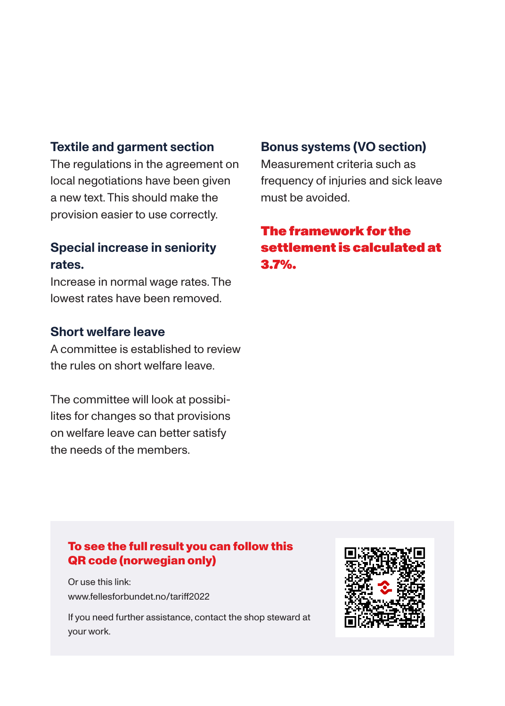#### **Textile and garment section**

The regulations in the agreement on local negotiations have been given a new text. This should make the provision easier to use correctly.

#### **Special increase in seniority rates.**

Increase in normal wage rates. The lowest rates have been removed.

#### **Short welfare leave**

A committee is established to review the rules on short welfare leave.

The committee will look at possibilites for changes so that provisions on welfare leave can better satisfy the needs of the members.

#### **Bonus systems (VO section)**

Measurement criteria such as frequency of injuries and sick leave must be avoided.

## The framework for the settlement is calculated at 3.7%.

#### To see the full result you can follow this QR code (norwegian only)

Or use this link: www.fellesforbundet.no/tariff2022

If you need further assistance, contact the shop steward at your work.